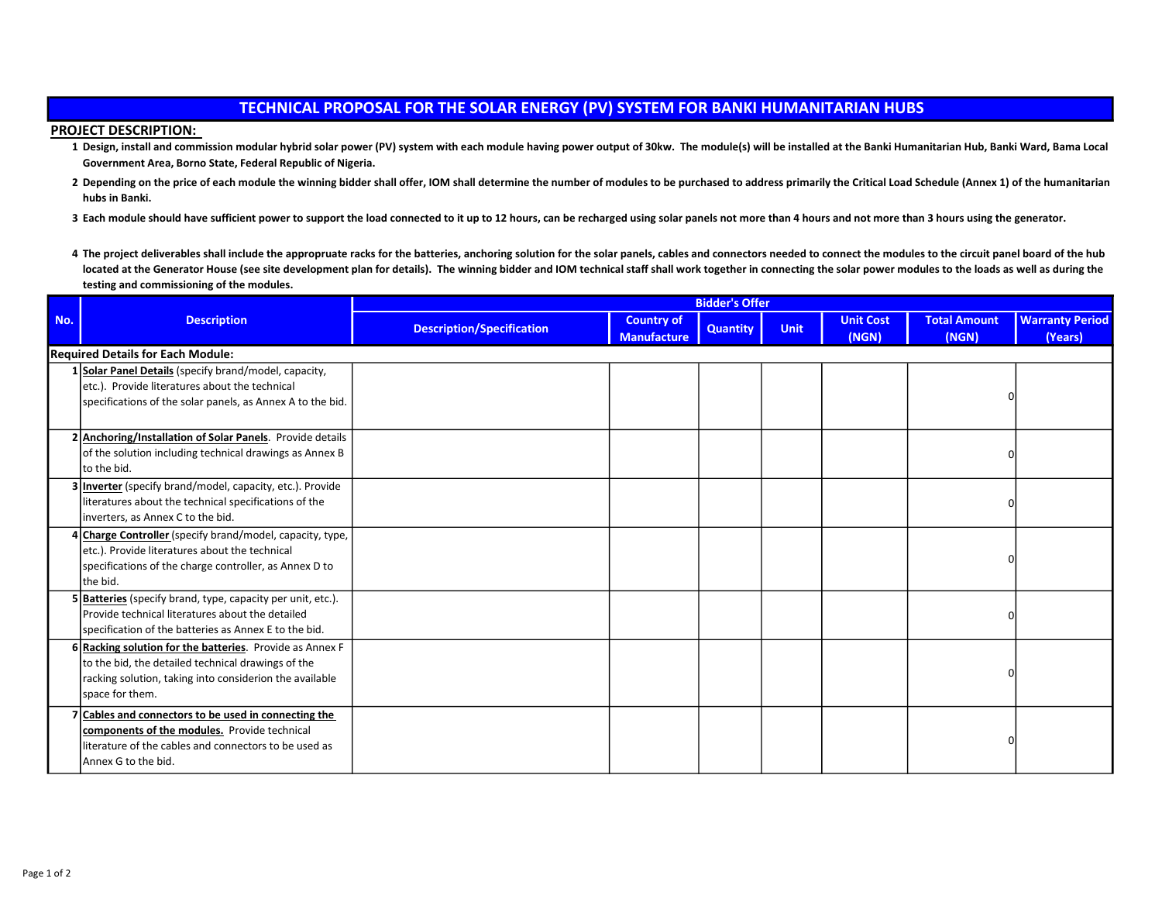## TECHNICAL PROPOSAL FOR THE SOLAR ENERGY (PV) SYSTEM FOR BANKI HUMANITARIAN HUBS

## PROJECT DESCRIPTION:

- 1 Design, install and commission modular hybrid solar power (PV) system with each module having power output of 30kw. The module(s) will be installed at the Banki Humanitarian Hub, Banki Ward, Bama Local Government Area, Borno State, Federal Republic of Nigeria.
- 2 Depending on the price of each module the winning bidder shall offer, IOM shall determine the number of modules to be purchased to address primarily the Critical Load Schedule (Annex 1) of the humanitarian hubs in Banki.
- 3 Each module should have sufficient power to support the load connected to it up to 12 hours, can be recharged using solar panels not more than 4 hours and not more than 3 hours using the generator.
- 4 The project deliverables shall include the appropruate racks for the batteries, anchoring solution for the solar panels, cables and connectors needed to connect the modules to the circuit panel board of the hub located at the Generator House (see site development plan for details). The winning bidder and IOM technical staff shall work together in connecting the solar power modules to the loads as well as during the testing and commissioning of the modules.

| No. | <b>Description</b>                                                                                                                                                                           | <b>Bidder's Offer</b>            |                                         |                 |             |                           |                              |                                   |
|-----|----------------------------------------------------------------------------------------------------------------------------------------------------------------------------------------------|----------------------------------|-----------------------------------------|-----------------|-------------|---------------------------|------------------------------|-----------------------------------|
|     |                                                                                                                                                                                              | <b>Description/Specification</b> | <b>Country of</b><br><b>Manufacture</b> | <b>Quantity</b> | <b>Unit</b> | <b>Unit Cost</b><br>(NGN) | <b>Total Amount</b><br>(NGN) | <b>Warranty Period</b><br>(Years) |
|     | <b>Required Details for Each Module:</b>                                                                                                                                                     |                                  |                                         |                 |             |                           |                              |                                   |
|     | 1 Solar Panel Details (specify brand/model, capacity,<br>etc.). Provide literatures about the technical<br>specifications of the solar panels, as Annex A to the bid.                        |                                  |                                         |                 |             |                           |                              |                                   |
|     | 2 Anchoring/Installation of Solar Panels. Provide details<br>of the solution including technical drawings as Annex B<br>to the bid.                                                          |                                  |                                         |                 |             |                           |                              |                                   |
|     | 3 Inverter (specify brand/model, capacity, etc.). Provide<br>literatures about the technical specifications of the<br>inverters, as Annex C to the bid.                                      |                                  |                                         |                 |             |                           |                              |                                   |
|     | 4 Charge Controller (specify brand/model, capacity, type,<br>etc.). Provide literatures about the technical<br>specifications of the charge controller, as Annex D to<br>lthe bid.           |                                  |                                         |                 |             |                           |                              |                                   |
|     | 5 Batteries (specify brand, type, capacity per unit, etc.).<br>Provide technical literatures about the detailed<br>specification of the batteries as Annex E to the bid.                     |                                  |                                         |                 |             |                           |                              |                                   |
|     | 6 Racking solution for the batteries. Provide as Annex F<br>to the bid, the detailed technical drawings of the<br>racking solution, taking into considerion the available<br>space for them. |                                  |                                         |                 |             |                           |                              |                                   |
|     | 7 Cables and connectors to be used in connecting the<br>components of the modules. Provide technical<br>literature of the cables and connectors to be used as<br>Annex G to the bid.         |                                  |                                         |                 |             |                           |                              |                                   |